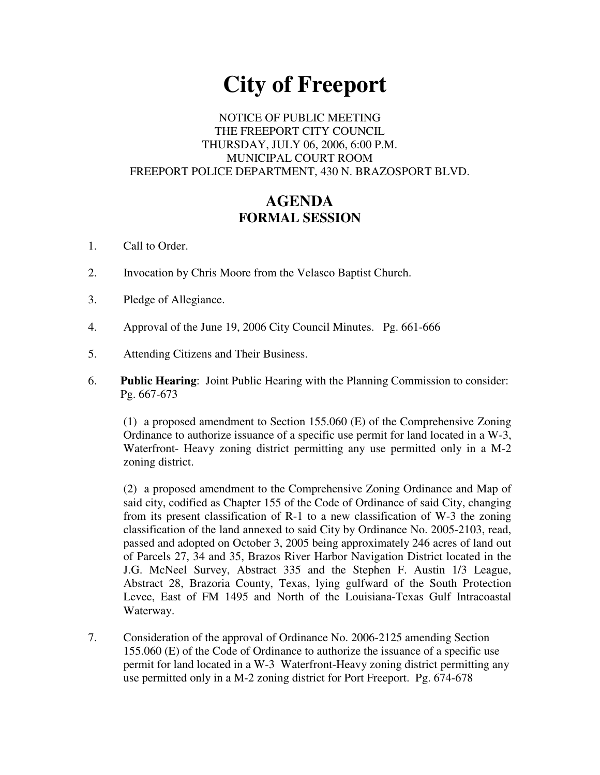# **City of Freeport**

### NOTICE OF PUBLIC MEETING THE FREEPORT CITY COUNCIL THURSDAY, JULY 06, 2006, 6:00 P.M. MUNICIPAL COURT ROOM FREEPORT POLICE DEPARTMENT, 430 N. BRAZOSPORT BLVD.

## **AGENDA FORMAL SESSION**

- 1. Call to Order.
- 2. Invocation by Chris Moore from the Velasco Baptist Church.
- 3. Pledge of Allegiance.
- 4. Approval of the June 19, 2006 City Council Minutes. Pg. 661-666
- 5. Attending Citizens and Their Business.
- 6. **Public Hearing**: Joint Public Hearing with the Planning Commission to consider: Pg. 667-673

(1) a proposed amendment to Section 155.060 (E) of the Comprehensive Zoning Ordinance to authorize issuance of a specific use permit for land located in a W-3, Waterfront- Heavy zoning district permitting any use permitted only in a M-2 zoning district.

(2) a proposed amendment to the Comprehensive Zoning Ordinance and Map of said city, codified as Chapter 155 of the Code of Ordinance of said City, changing from its present classification of R-1 to a new classification of W-3 the zoning classification of the land annexed to said City by Ordinance No. 2005-2103, read, passed and adopted on October 3, 2005 being approximately 246 acres of land out of Parcels 27, 34 and 35, Brazos River Harbor Navigation District located in the J.G. McNeel Survey, Abstract 335 and the Stephen F. Austin 1/3 League, Abstract 28, Brazoria County, Texas, lying gulfward of the South Protection Levee, East of FM 1495 and North of the Louisiana-Texas Gulf Intracoastal Waterway.

7. Consideration of the approval of Ordinance No. 2006-2125 amending Section 155.060 (E) of the Code of Ordinance to authorize the issuance of a specific use permit for land located in a W-3 Waterfront-Heavy zoning district permitting any use permitted only in a M-2 zoning district for Port Freeport. Pg. 674-678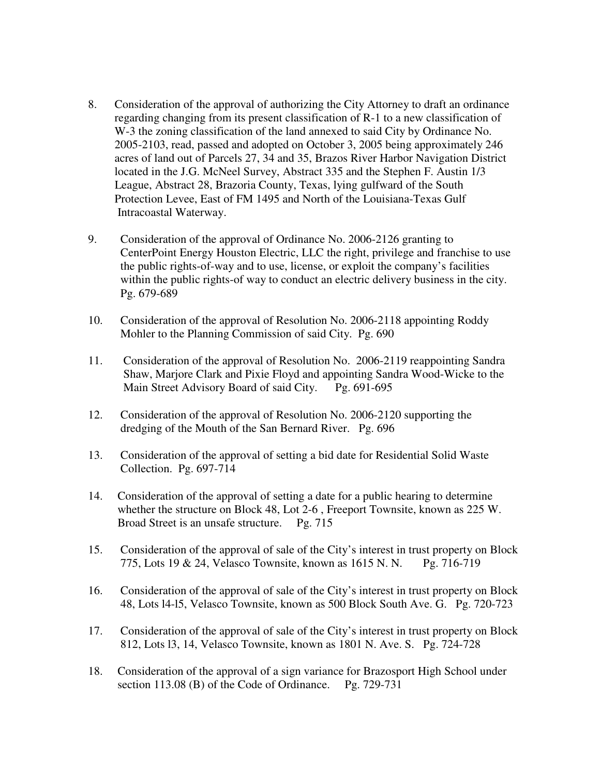- 8. Consideration of the approval of authorizing the City Attorney to draft an ordinance regarding changing from its present classification of R-1 to a new classification of W-3 the zoning classification of the land annexed to said City by Ordinance No. 2005-2103, read, passed and adopted on October 3, 2005 being approximately 246 acres of land out of Parcels 27, 34 and 35, Brazos River Harbor Navigation District located in the J.G. McNeel Survey, Abstract 335 and the Stephen F. Austin 1/3 League, Abstract 28, Brazoria County, Texas, lying gulfward of the South Protection Levee, East of FM 1495 and North of the Louisiana-Texas Gulf Intracoastal Waterway.
- 9. Consideration of the approval of Ordinance No. 2006-2126 granting to CenterPoint Energy Houston Electric, LLC the right, privilege and franchise to use the public rights-of-way and to use, license, or exploit the company's facilities within the public rights-of way to conduct an electric delivery business in the city. Pg. 679-689
- 10. Consideration of the approval of Resolution No. 2006-2118 appointing Roddy Mohler to the Planning Commission of said City. Pg. 690
- 11. Consideration of the approval of Resolution No. 2006-2119 reappointing Sandra Shaw, Marjore Clark and Pixie Floyd and appointing Sandra Wood-Wicke to the Main Street Advisory Board of said City. Pg. 691-695
- 12. Consideration of the approval of Resolution No. 2006-2120 supporting the dredging of the Mouth of the San Bernard River. Pg. 696
- 13. Consideration of the approval of setting a bid date for Residential Solid Waste Collection. Pg. 697-714
- 14. Consideration of the approval of setting a date for a public hearing to determine whether the structure on Block 48, Lot 2-6 , Freeport Townsite, known as 225 W. Broad Street is an unsafe structure. Pg. 715
- 15. Consideration of the approval of sale of the City's interest in trust property on Block 775, Lots 19 & 24, Velasco Townsite, known as 1615 N. N. Pg. 716-719
- 16. Consideration of the approval of sale of the City's interest in trust property on Block 48, Lots l4-l5, Velasco Townsite, known as 500 Block South Ave. G. Pg. 720-723
- 17. Consideration of the approval of sale of the City's interest in trust property on Block 812, Lots l3, 14, Velasco Townsite, known as 1801 N. Ave. S. Pg. 724-728
- 18. Consideration of the approval of a sign variance for Brazosport High School under section 113.08 (B) of the Code of Ordinance. Pg. 729-731